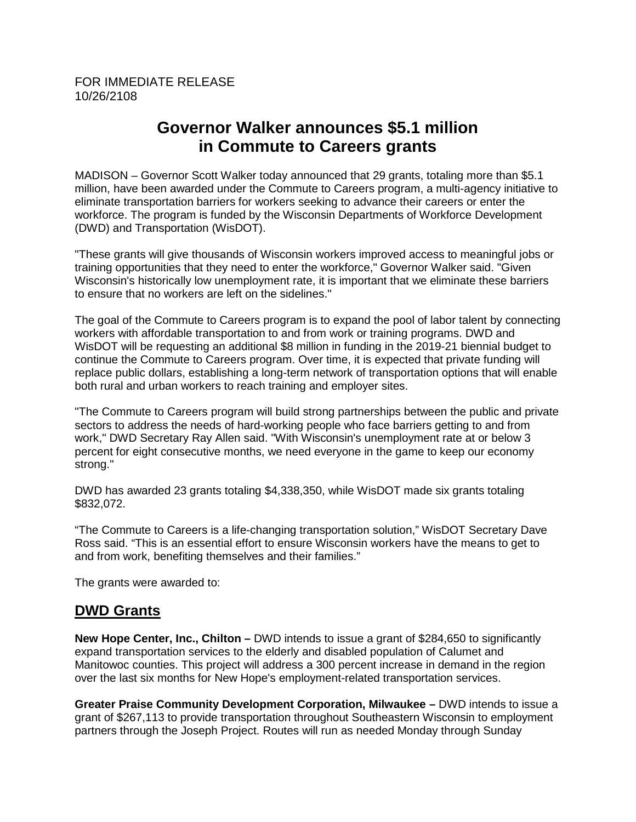## **Governor Walker announces \$5.1 million in Commute to Careers grants**

MADISON – Governor Scott Walker today announced that 29 grants, totaling more than \$5.1 million, have been awarded under the Commute to Careers program, a multi-agency initiative to eliminate transportation barriers for workers seeking to advance their careers or enter the workforce. The program is funded by the Wisconsin Departments of Workforce Development (DWD) and Transportation (WisDOT).

"These grants will give thousands of Wisconsin workers improved access to meaningful jobs or training opportunities that they need to enter the workforce," Governor Walker said. "Given Wisconsin's historically low unemployment rate, it is important that we eliminate these barriers to ensure that no workers are left on the sidelines."

The goal of the Commute to Careers program is to expand the pool of labor talent by connecting workers with affordable transportation to and from work or training programs. DWD and WisDOT will be requesting an additional \$8 million in funding in the 2019-21 biennial budget to continue the Commute to Careers program. Over time, it is expected that private funding will replace public dollars, establishing a long-term network of transportation options that will enable both rural and urban workers to reach training and employer sites.

"The Commute to Careers program will build strong partnerships between the public and private sectors to address the needs of hard-working people who face barriers getting to and from work," DWD Secretary Ray Allen said. "With Wisconsin's unemployment rate at or below 3 percent for eight consecutive months, we need everyone in the game to keep our economy strong."

DWD has awarded 23 grants totaling \$4,338,350, while WisDOT made six grants totaling \$832,072.

"The Commute to Careers is a life-changing transportation solution," WisDOT Secretary Dave Ross said. "This is an essential effort to ensure Wisconsin workers have the means to get to and from work, benefiting themselves and their families."

The grants were awarded to:

## **DWD Grants**

**New Hope Center, Inc., Chilton –** DWD intends to issue a grant of \$284,650 to significantly expand transportation services to the elderly and disabled population of Calumet and Manitowoc counties. This project will address a 300 percent increase in demand in the region over the last six months for New Hope's employment-related transportation services.

**Greater Praise Community Development Corporation, Milwaukee –** DWD intends to issue a grant of \$267,113 to provide transportation throughout Southeastern Wisconsin to employment partners through the Joseph Project. Routes will run as needed Monday through Sunday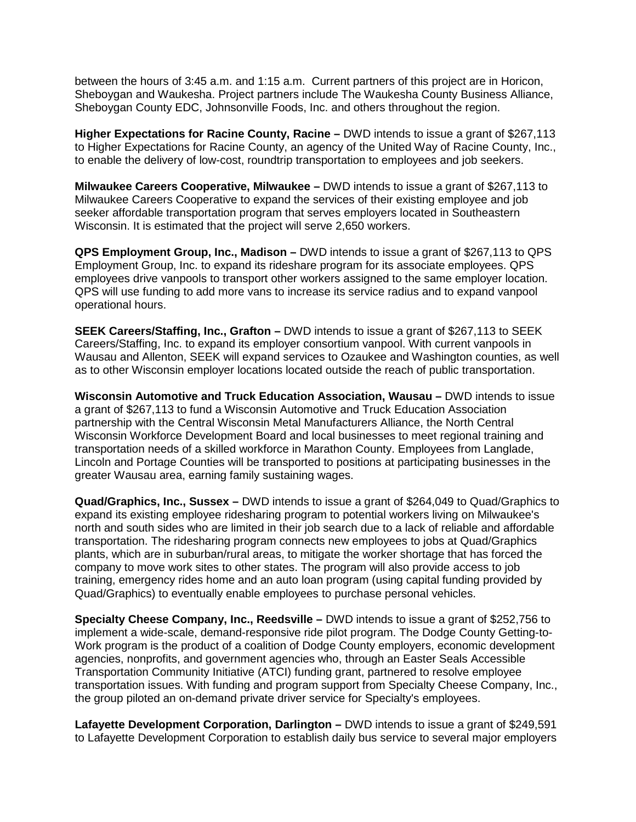between the hours of 3:45 a.m. and 1:15 a.m. Current partners of this project are in Horicon, Sheboygan and Waukesha. Project partners include The Waukesha County Business Alliance, Sheboygan County EDC, Johnsonville Foods, Inc. and others throughout the region.

**Higher Expectations for Racine County, Racine –** DWD intends to issue a grant of \$267,113 to Higher Expectations for Racine County, an agency of the United Way of Racine County, Inc., to enable the delivery of low-cost, roundtrip transportation to employees and job seekers.

**Milwaukee Careers Cooperative, Milwaukee –** DWD intends to issue a grant of \$267,113 to Milwaukee Careers Cooperative to expand the services of their existing employee and job seeker affordable transportation program that serves employers located in Southeastern Wisconsin. It is estimated that the project will serve 2,650 workers.

**QPS Employment Group, Inc., Madison –** DWD intends to issue a grant of \$267,113 to QPS Employment Group, Inc. to expand its rideshare program for its associate employees. QPS employees drive vanpools to transport other workers assigned to the same employer location. QPS will use funding to add more vans to increase its service radius and to expand vanpool operational hours.

**SEEK Careers/Staffing, Inc., Grafton –** DWD intends to issue a grant of \$267,113 to SEEK Careers/Staffing, Inc. to expand its employer consortium vanpool. With current vanpools in Wausau and Allenton, SEEK will expand services to Ozaukee and Washington counties, as well as to other Wisconsin employer locations located outside the reach of public transportation.

**Wisconsin Automotive and Truck Education Association, Wausau –** DWD intends to issue a grant of \$267,113 to fund a Wisconsin Automotive and Truck Education Association partnership with the Central Wisconsin Metal Manufacturers Alliance, the North Central Wisconsin Workforce Development Board and local businesses to meet regional training and transportation needs of a skilled workforce in Marathon County. Employees from Langlade, Lincoln and Portage Counties will be transported to positions at participating businesses in the greater Wausau area, earning family sustaining wages.

**Quad/Graphics, Inc., Sussex –** DWD intends to issue a grant of \$264,049 to Quad/Graphics to expand its existing employee ridesharing program to potential workers living on Milwaukee's north and south sides who are limited in their job search due to a lack of reliable and affordable transportation. The ridesharing program connects new employees to jobs at Quad/Graphics plants, which are in suburban/rural areas, to mitigate the worker shortage that has forced the company to move work sites to other states. The program will also provide access to job training, emergency rides home and an auto loan program (using capital funding provided by Quad/Graphics) to eventually enable employees to purchase personal vehicles.

**Specialty Cheese Company, Inc., Reedsville –** DWD intends to issue a grant of \$252,756 to implement a wide-scale, demand-responsive ride pilot program. The Dodge County Getting-to-Work program is the product of a coalition of Dodge County employers, economic development agencies, nonprofits, and government agencies who, through an Easter Seals Accessible Transportation Community Initiative (ATCI) funding grant, partnered to resolve employee transportation issues. With funding and program support from Specialty Cheese Company, Inc., the group piloted an on-demand private driver service for Specialty's employees.

**Lafayette Development Corporation, Darlington –** DWD intends to issue a grant of \$249,591 to Lafayette Development Corporation to establish daily bus service to several major employers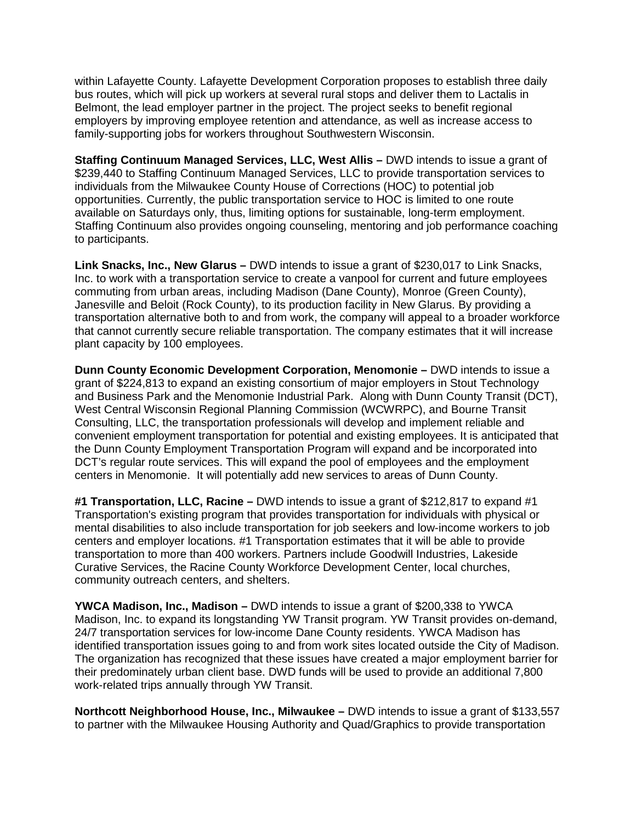within Lafayette County. Lafayette Development Corporation proposes to establish three daily bus routes, which will pick up workers at several rural stops and deliver them to Lactalis in Belmont, the lead employer partner in the project. The project seeks to benefit regional employers by improving employee retention and attendance, as well as increase access to family-supporting jobs for workers throughout Southwestern Wisconsin.

**Staffing Continuum Managed Services, LLC, West Allis –** DWD intends to issue a grant of \$239,440 to Staffing Continuum Managed Services, LLC to provide transportation services to individuals from the Milwaukee County House of Corrections (HOC) to potential job opportunities. Currently, the public transportation service to HOC is limited to one route available on Saturdays only, thus, limiting options for sustainable, long-term employment. Staffing Continuum also provides ongoing counseling, mentoring and job performance coaching to participants.

**Link Snacks, Inc., New Glarus –** DWD intends to issue a grant of \$230,017 to Link Snacks, Inc. to work with a transportation service to create a vanpool for current and future employees commuting from urban areas, including Madison (Dane County), Monroe (Green County), Janesville and Beloit (Rock County), to its production facility in New Glarus. By providing a transportation alternative both to and from work, the company will appeal to a broader workforce that cannot currently secure reliable transportation. The company estimates that it will increase plant capacity by 100 employees.

**Dunn County Economic Development Corporation, Menomonie –** DWD intends to issue a grant of \$224,813 to expand an existing consortium of major employers in Stout Technology and Business Park and the Menomonie Industrial Park. Along with Dunn County Transit (DCT), West Central Wisconsin Regional Planning Commission (WCWRPC), and Bourne Transit Consulting, LLC, the transportation professionals will develop and implement reliable and convenient employment transportation for potential and existing employees. It is anticipated that the Dunn County Employment Transportation Program will expand and be incorporated into DCT's regular route services. This will expand the pool of employees and the employment centers in Menomonie. It will potentially add new services to areas of Dunn County.

**#1 Transportation, LLC, Racine –** DWD intends to issue a grant of \$212,817 to expand #1 Transportation's existing program that provides transportation for individuals with physical or mental disabilities to also include transportation for job seekers and low-income workers to job centers and employer locations. #1 Transportation estimates that it will be able to provide transportation to more than 400 workers. Partners include Goodwill Industries, Lakeside Curative Services, the Racine County Workforce Development Center, local churches, community outreach centers, and shelters.

**YWCA Madison, Inc., Madison –** DWD intends to issue a grant of \$200,338 to YWCA Madison, Inc. to expand its longstanding YW Transit program. YW Transit provides on-demand, 24/7 transportation services for low-income Dane County residents. YWCA Madison has identified transportation issues going to and from work sites located outside the City of Madison. The organization has recognized that these issues have created a major employment barrier for their predominately urban client base. DWD funds will be used to provide an additional 7,800 work-related trips annually through YW Transit.

**Northcott Neighborhood House, Inc., Milwaukee –** DWD intends to issue a grant of \$133,557 to partner with the Milwaukee Housing Authority and Quad/Graphics to provide transportation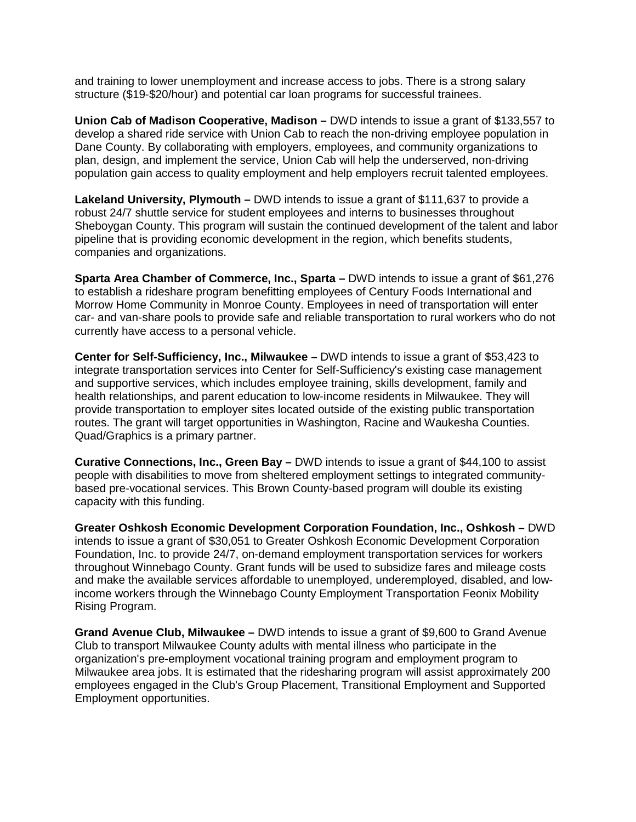and training to lower unemployment and increase access to jobs. There is a strong salary structure (\$19-\$20/hour) and potential car loan programs for successful trainees.

**Union Cab of Madison Cooperative, Madison –** DWD intends to issue a grant of \$133,557 to develop a shared ride service with Union Cab to reach the non-driving employee population in Dane County. By collaborating with employers, employees, and community organizations to plan, design, and implement the service, Union Cab will help the underserved, non-driving population gain access to quality employment and help employers recruit talented employees.

**Lakeland University, Plymouth –** DWD intends to issue a grant of \$111,637 to provide a robust 24/7 shuttle service for student employees and interns to businesses throughout Sheboygan County. This program will sustain the continued development of the talent and labor pipeline that is providing economic development in the region, which benefits students, companies and organizations.

**Sparta Area Chamber of Commerce, Inc., Sparta –** DWD intends to issue a grant of \$61,276 to establish a rideshare program benefitting employees of Century Foods International and Morrow Home Community in Monroe County. Employees in need of transportation will enter car- and van-share pools to provide safe and reliable transportation to rural workers who do not currently have access to a personal vehicle.

**Center for Self-Sufficiency, Inc., Milwaukee –** DWD intends to issue a grant of \$53,423 to integrate transportation services into Center for Self-Sufficiency's existing case management and supportive services, which includes employee training, skills development, family and health relationships, and parent education to low-income residents in Milwaukee. They will provide transportation to employer sites located outside of the existing public transportation routes. The grant will target opportunities in Washington, Racine and Waukesha Counties. Quad/Graphics is a primary partner.

**Curative Connections, Inc., Green Bay –** DWD intends to issue a grant of \$44,100 to assist people with disabilities to move from sheltered employment settings to integrated communitybased pre-vocational services. This Brown County-based program will double its existing capacity with this funding.

**Greater Oshkosh Economic Development Corporation Foundation, Inc., Oshkosh –** DWD intends to issue a grant of \$30,051 to Greater Oshkosh Economic Development Corporation Foundation, Inc. to provide 24/7, on-demand employment transportation services for workers throughout Winnebago County. Grant funds will be used to subsidize fares and mileage costs and make the available services affordable to unemployed, underemployed, disabled, and lowincome workers through the Winnebago County Employment Transportation Feonix Mobility Rising Program.

**Grand Avenue Club, Milwaukee –** DWD intends to issue a grant of \$9,600 to Grand Avenue Club to transport Milwaukee County adults with mental illness who participate in the organization's pre-employment vocational training program and employment program to Milwaukee area jobs. It is estimated that the ridesharing program will assist approximately 200 employees engaged in the Club's Group Placement, Transitional Employment and Supported Employment opportunities.